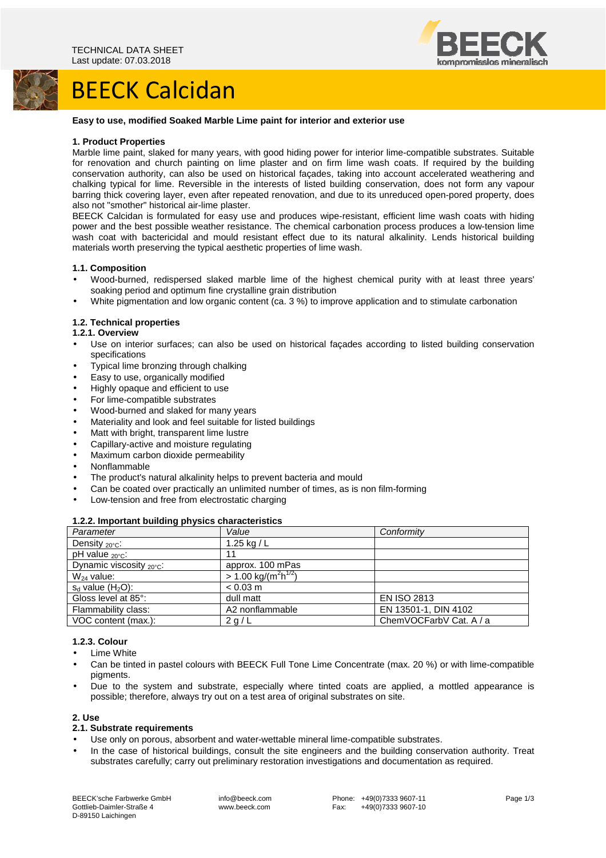## BEECK Calcidan



#### **Easy to use, modified Soaked Marble Lime paint for interior and exterior use**

#### **1. Product Properties**

Marble lime paint, slaked for many years, with good hiding power for interior lime-compatible substrates. Suitable for renovation and church painting on lime plaster and on firm lime wash coats. If required by the building conservation authority, can also be used on historical façades, taking into account accelerated weathering and chalking typical for lime. Reversible in the interests of listed building conservation, does not form any vapour barring thick covering layer, even after repeated renovation, and due to its unreduced open-pored property, does also not "smother" historical air-lime plaster.

BEECK Calcidan is formulated for easy use and produces wipe-resistant, efficient lime wash coats with hiding power and the best possible weather resistance. The chemical carbonation process produces a low-tension lime wash coat with bactericidal and mould resistant effect due to its natural alkalinity. Lends historical building materials worth preserving the typical aesthetic properties of lime wash.

#### **1.1. Composition**

- Wood-burned, redispersed slaked marble lime of the highest chemical purity with at least three years' soaking period and optimum fine crystalline grain distribution
- White pigmentation and low organic content (ca. 3 %) to improve application and to stimulate carbonation

## **1.2. Technical properties**

#### **1.2.1. Overview**

- Use on interior surfaces; can also be used on historical façades according to listed building conservation specifications
- Typical lime bronzing through chalking
- Easy to use, organically modified
- Highly opaque and efficient to use
- For lime-compatible substrates
- Wood-burned and slaked for many years
- Materiality and look and feel suitable for listed buildings
- Matt with bright, transparent lime lustre
- Capillary-active and moisture regulating
- Maximum carbon dioxide permeability
- Nonflammable
- The product's natural alkalinity helps to prevent bacteria and mould
- Can be coated over practically an unlimited number of times, as is non film-forming
- Low-tension and free from electrostatic charging

#### **1.2.2. Important building physics characteristics**

| Parameter                            | Value                        | Conformity              |
|--------------------------------------|------------------------------|-------------------------|
| Density $20^{\circ}$ C:              | 1.25 kg / $L$                |                         |
| pH value $_{20^{\circ}C}$ :          | 11                           |                         |
| Dynamic viscosity $_{20^{\circ}C}$ : | approx. 100 mPas             |                         |
| $W_{24}$ value:                      | $> 1.00 \text{ kg/(m2h1/2)}$ |                         |
| $s_d$ value $(H_2O)$ :               | $< 0.03$ m                   |                         |
| Gloss level at 85°:                  | dull matt                    | <b>EN ISO 2813</b>      |
| Flammability class:                  | A2 nonflammable              | EN 13501-1, DIN 4102    |
| VOC content (max.):                  | 2 g/L                        | ChemVOCFarbV Cat. A / a |

#### **1.2.3. Colour**

- **Lime White**
- Can be tinted in pastel colours with BEECK Full Tone Lime Concentrate (max. 20 %) or with lime-compatible pigments.
- Due to the system and substrate, especially where tinted coats are applied, a mottled appearance is possible; therefore, always try out on a test area of original substrates on site.

#### **2. Use**

#### **2.1. Substrate requirements**

- Use only on porous, absorbent and water-wettable mineral lime-compatible substrates.
- In the case of historical buildings, consult the site engineers and the building conservation authority. Treat substrates carefully; carry out preliminary restoration investigations and documentation as required.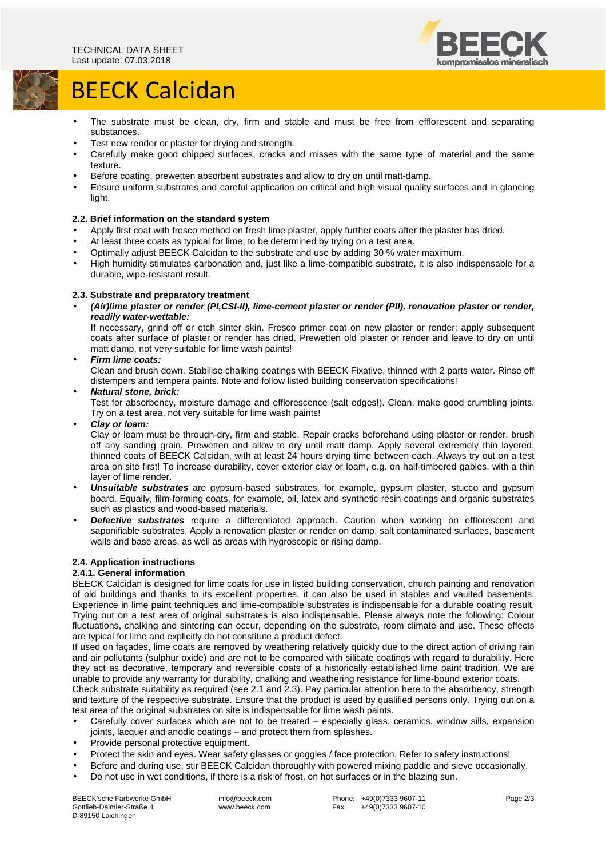

# BEECK Calcidan

- The substrate must be clean, dry, firm and stable and must be free from efflorescent and separating substances.
- Test new render or plaster for drying and strength.
- Carefully make good chipped surfaces, cracks and misses with the same type of material and the same texture.
- Before coating, prewetten absorbent substrates and allow to dry on until matt-damp.
- Ensure uniform substrates and careful application on critical and high visual quality surfaces and in glancing light.

## **2.2. Brief information on the standard system**

- Apply first coat with fresco method on fresh lime plaster, apply further coats after the plaster has dried.
- At least three coats as typical for lime; to be determined by trying on a test area.
- Optimally adjust BEECK Calcidan to the substrate and use by adding 30 % water maximum.
- High humidity stimulates carbonation and, just like a lime-compatible substrate, it is also indispensable for a durable, wipe-resistant result.

### **2.3. Substrate and preparatory treatment**

• **(Air)lime plaster or render (PI,CSI-II), lime-cement plaster or render (PII), renovation plaster or render, readily water-wettable:** 

If necessary, grind off or etch sinter skin. Fresco primer coat on new plaster or render; apply subsequent coats after surface of plaster or render has dried. Prewetten old plaster or render and leave to dry on until matt damp, not very suitable for lime wash paints!

#### • **Firm lime coats:**

Clean and brush down. Stabilise chalking coatings with BEECK Fixative, thinned with 2 parts water. Rinse off distempers and tempera paints. Note and follow listed building conservation specifications!

• **Natural stone, brick:** 

Test for absorbency, moisture damage and efflorescence (salt edges!). Clean, make good crumbling joints. Try on a test area, not very suitable for lime wash paints!

• **Clay or loam:** 

Clay or loam must be through-dry, firm and stable. Repair cracks beforehand using plaster or render, brush off any sanding grain. Prewetten and allow to dry until matt damp. Apply several extremely thin layered, thinned coats of BEECK Calcidan, with at least 24 hours drying time between each. Always try out on a test area on site first! To increase durability, cover exterior clay or loam, e.g. on half-timbered gables, with a thin layer of lime render.

- **Unsuitable substrates** are gypsum-based substrates, for example, gypsum plaster, stucco and gypsum board. Equally, film-forming coats, for example, oil, latex and synthetic resin coatings and organic substrates such as plastics and wood-based materials.
- **Defective substrates** require a differentiated approach. Caution when working on efflorescent and saponifiable substrates. Apply a renovation plaster or render on damp, salt contaminated surfaces, basement walls and base areas, as well as areas with hygroscopic or rising damp.

#### **2.4. Application instructions**

## **2.4.1. General information**

BEECK Calcidan is designed for lime coats for use in listed building conservation, church painting and renovation of old buildings and thanks to its excellent properties, it can also be used in stables and vaulted basements. Experience in lime paint techniques and lime-compatible substrates is indispensable for a durable coating result. Trying out on a test area of original substrates is also indispensable. Please always note the following: Colour fluctuations, chalking and sintering can occur, depending on the substrate, room climate and use. These effects are typical for lime and explicitly do not constitute a product defect.

If used on façades, lime coats are removed by weathering relatively quickly due to the direct action of driving rain and air pollutants (sulphur oxide) and are not to be compared with silicate coatings with regard to durability. Here they act as decorative, temporary and reversible coats of a historically established lime paint tradition. We are unable to provide any warranty for durability, chalking and weathering resistance for lime-bound exterior coats.

Check substrate suitability as required (see 2.1 and 2.3). Pay particular attention here to the absorbency, strength and texture of the respective substrate. Ensure that the product is used by qualified persons only. Trying out on a test area of the original substrates on site is indispensable for lime wash paints.

- Carefully cover surfaces which are not to be treated especially glass, ceramics, window sills, expansion joints, lacquer and anodic coatings – and protect them from splashes.
- Provide personal protective equipment.
- Protect the skin and eyes. Wear safety glasses or goggles / face protection. Refer to safety instructions!
- Before and during use, stir BEECK Calcidan thoroughly with powered mixing paddle and sieve occasionally.
- Do not use in wet conditions, if there is a risk of frost, on hot surfaces or in the blazing sun.

BEECK'sche Farbwerke GmbH Gottlieb-Daimler-Straße 4 D-89150 Laichingen

 info@beeck.com www.beeck.com

Phone: +49(0)7333 9607-11<br>Fax: +49(0)7333 9607-10 +49(0)7333 9607-10